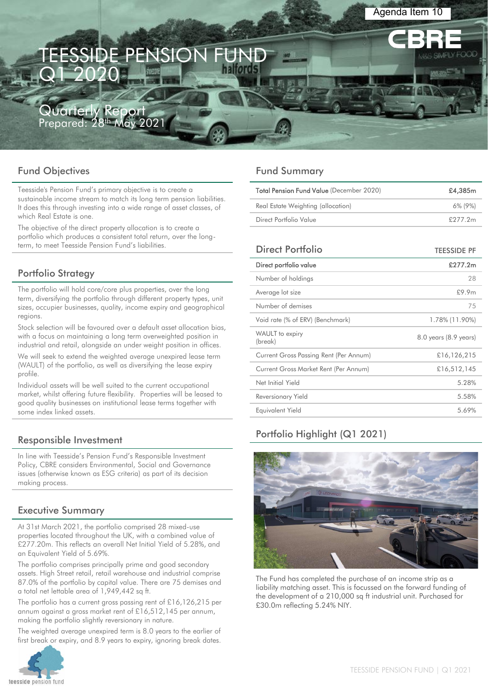# **ESSIDE PENSION** Q1 2020

J**arterly Report**<br><sub>pared: 28<sup>th</sup> May 2021</sub> Prepared: 28<sup>th</sup>

# Fund Objectives

Teesside's Pension Fund's primary objective is to create a sustainable income stream to match its long term pension liabilities. It does this through investing into a wide range of asset classes, of which Real Estate is one.

The objective of the direct property allocation is to create a portfolio which produces a consistent total return, over the longterm, to meet Teesside Pension Fund's liabilities.

# Portfolio Strategy

The portfolio will hold core/core plus properties, over the long term, diversifying the portfolio through different property types, unit sizes, occupier businesses, quality, income expiry and geographical regions.

Stock selection will be favoured over a default asset allocation bias, with a focus on maintaining a long term overweighted position in industrial and retail, alongside an under weight position in offices.

We will seek to extend the weighted average unexpired lease term (WAULT) of the portfolio, as well as diversifying the lease expiry profile.

Individual assets will be well suited to the current occupational market, whilst offering future flexibility. Properties will be leased to good quality businesses on institutional lease terms together with some index linked assets.

# Responsible Investment

In line with Teesside's Pension Fund's Responsible Investment Policy, CBRE considers Environmental, Social and Governance issues (otherwise known as ESG criteria) as part of its decision making process.

# Executive Summary

At 31st March 2021, the portfolio comprised 28 mixed-use properties located throughout the UK, with a combined value of £277.20m. This reflects an overall Net Initial Yield of 5.28%, and an Equivalent Yield of 5.69%.

The portfolio comprises principally prime and good secondary assets. High Street retail, retail warehouse and industrial comprise 87.0% of the portfolio by capital value. There are 75 demises and a total net lettable area of 1,949,442 sq ft.

The portfolio has a current gross passing rent of £16,126,215 per annum against a gross market rent of £16,512,145 per annum, making the portfolio slightly reversionary in nature.

The weighted average unexpired term is 8.0 years to the earlier of first break or expiry, and 8.9 years to expiry, ignoring break dates.



# Fund Summary

| Total Pension Fund Value (December 2020) | £4,385m    |
|------------------------------------------|------------|
| Real Estate Weighting (allocation)       | $6\%$ (9%) |
| Direct Portfolio Value                   | £277.2m    |
|                                          |            |

Agenda Item 10

| Direct Portfolio                       | <b>TEESSIDE PF</b>    |
|----------------------------------------|-----------------------|
| Direct portfolio value                 | £277.2m               |
| Number of holdings                     | 28                    |
| Average lot size                       | £9.9m                 |
| Number of demises                      | 75                    |
| Void rate (% of ERV) (Benchmark)       | 1.78% (11.90%)        |
| WAULT to expiry<br>(break)             | 8.0 years (8.9 years) |
| Current Gross Passing Rent (Per Annum) | £16,126,215           |
| Current Gross Market Rent (Per Annum)  | £16,512,145           |
| Net Initial Yield                      | 5.28%                 |
| Reversionary Yield                     | 5.58%                 |
| Equivalent Yield                       | 5.69%                 |
|                                        |                       |

# Portfolio Highlight (Q1 2021)



The Fund has completed the purchase of an income strip as a liability matching asset. This is focussed on the forward funding of the development of a 210,000 sq ft industrial unit. Purchased for £30.0m reflecting 5.24% NIY.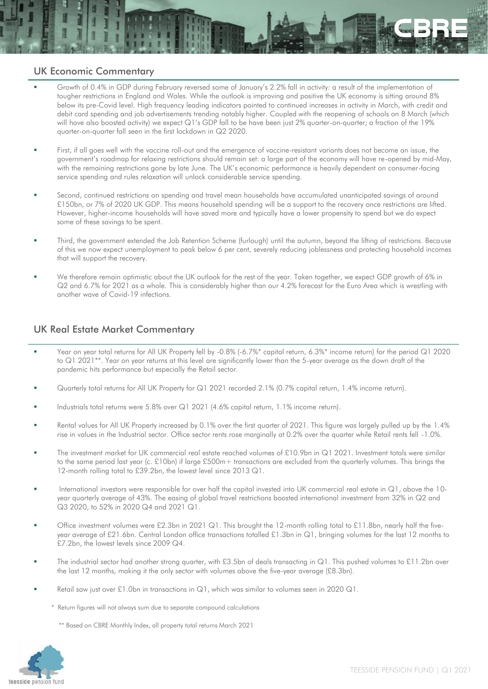### UK Economic Commentary

- Growth of 0.4% in GDP during February reversed some of January's 2.2% fall in activity: a result of the implementation of tougher restrictions in England and Wales. While the outlook is improving and positive the UK economy is sitting around 8% below its pre-Covid level. High frequency leading indicators pointed to continued increases in activity in March, with credit and debit card spending and job advertisements trending notably higher. Coupled with the reopening of schools on 8 March (which will have also boosted activity) we expect Q1's GDP fall to be have been just 2% quarter-on-quarter; a fraction of the 19% quarter-on-quarter fall seen in the first lockdown in Q2 2020.
- First, if all goes well with the vaccine roll-out and the emergence of vaccine-resistant variants does not become an issue, the government's roadmap for relaxing restrictions should remain set: a large part of the economy will have re-opened by mid-May, with the remaining restrictions gone by late June. The UK's economic performance is heavily dependent on consumer-facing service spending and rules relaxation will unlock considerable service spending.
- Second, continued restrictions on spending and travel mean households have accumulated unanticipated savings of around £150bn, or 7% of 2020 UK GDP. This means household spending will be a support to the recovery once restrictions are lifted. However, higher-income households will have saved more and typically have a lower propensity to spend but we do expect some of these savings to be spent.
- Third, the government extended the Job Retention Scheme (furlough) until the autumn, beyond the lifting of restrictions. Because of this we now expect unemployment to peak below 6 per cent, severely reducing joblessness and protecting household incomes that will support the recovery.
- We therefore remain optimistic about the UK outlook for the rest of the year. Taken together, we expect GDP growth of 6% in Q2 and 6.7% for 2021 as a whole. This is considerably higher than our 4.2% forecast for the Euro Area which is wrestling with another wave of Covid-19 infections.

# UK Real Estate Market Commentary

- Year on year total returns for All UK Property fell by -0.8% (-6.7%\* capital return, 6.3%\* income return) for the period Q1 2020 to Q1 2021\*\*. Year on year returns at this level are significantly lower than the 5-year average as the down draft of the pandemic hits performance but especially the Retail sector.
- Quarterly total returns for All UK Property for Q1 2021 recorded 2.1% (0.7% capital return, 1.4% income return).
- Industrials total returns were 5.8% over Q1 2021 (4.6% capital return, 1.1% income return).
- Rental values for All UK Property increased by 0.1% over the first quarter of 2021. This figure was largely pulled up by the 1.4% rise in values in the Industrial sector. Office sector rents rose marginally at 0.2% over the quarter while Retail rents fell -1.0%.
- The investment market for UK commercial real estate reached volumes of £10.9bn in Q1 2021. Investment totals were similar to the same period last year (c. £10bn) if large £500m+ transactions are excluded from the quarterly volumes. This brings the 12-month rolling total to £39.2bn, the lowest level since 2013 Q1.
- International investors were responsible for over half the capital invested into UK commercial real estate in  $\mathbb{Q}$ 1, above the 10year quarterly average of 43%. The easing of global travel restrictions boosted international investment from 32% in Q2 and Q3 2020, to 52% in 2020 Q4 and 2021 Q1.
- Office investment volumes were £2.3bn in 2021 Q1. This brought the 12-month rolling total to £11.8bn, nearly half the fiveyear average of £21.6bn. Central London office transactions totalled £1.3bn in Q1, bringing volumes for the last 12 months to £7.2bn, the lowest levels since 2009 Q4.
- The industrial sector had another strong quarter, with £3.5bn of deals transacting in Q1. This pushed volumes to £11.2bn over the last 12 months, making it the only sector with volumes above the five-year average (£8.3bn).
- Retail saw just over £1.0bn in transactions in  $Q1$ , which was similar to volumes seen in 2020  $Q1$ .
	- \* Return figures will not always sum due to separate compound calculations

\*\* Based on CBRE Monthly Index, all property total returns March 2021

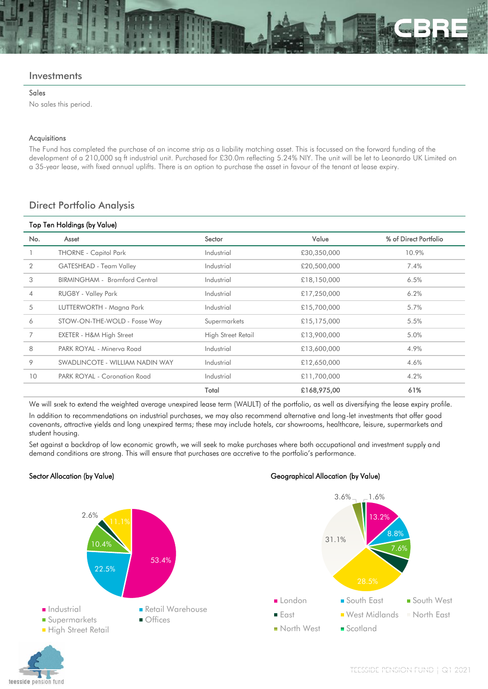#### **Investments**

#### Sales

No sales this period.

#### Acquisitions

The Fund has completed the purchase of an income strip as a liability matching asset. This is focussed on the forward funding of the development of a 210,000 sq ft industrial unit. Purchased for £30.0m reflecting 5.24% NIY. The unit will be let to Leonardo UK Limited on a 35-year lease, with fixed annual uplifts. There is an option to purchase the asset in favour of the tenant at lease expiry.

#### Direct Portfolio Analysis

| Top Ten Holdings (by Value) |                                 |                    |             |                       |  |  |  |
|-----------------------------|---------------------------------|--------------------|-------------|-----------------------|--|--|--|
| No.                         | Asset                           | Sector             | Value       | % of Direct Portfolio |  |  |  |
|                             | <b>THORNE - Capitol Park</b>    | Industrial         | £30,350,000 | 10.9%                 |  |  |  |
| 2                           | GATESHEAD - Team Valley         | Industrial         | £20,500,000 | 7.4%                  |  |  |  |
| 3                           | BIRMINGHAM - Bromford Central   | Industrial         | £18,150,000 | 6.5%                  |  |  |  |
| $\overline{4}$              | <b>RUGBY - Valley Park</b>      | Industrial         | £17,250,000 | 6.2%                  |  |  |  |
| 5                           | LUTTERWORTH - Magna Park        | Industrial         | £15,700,000 | 5.7%                  |  |  |  |
| 6                           | STOW-ON-THE-WOLD - Fosse Way    | Supermarkets       | £15,175,000 | 5.5%                  |  |  |  |
| 7                           | EXETER - H&M High Street        | High Street Retail | £13,900,000 | 5.0%                  |  |  |  |
| 8                           | PARK ROYAL - Minerva Road       | Industrial         | £13,600,000 | 4.9%                  |  |  |  |
| 9                           | SWADLINCOTE - WILLIAM NADIN WAY | Industrial         | £12,650,000 | 4.6%                  |  |  |  |
| 10                          | PARK ROYAL - Coronation Road    | Industrial         | £11,700,000 | 4.2%                  |  |  |  |
|                             |                                 | Total              | £168,975,00 | 61%                   |  |  |  |

We will seek to extend the weighted average unexpired lease term (WAULT) of the portfolio, as well as diversifying the lease expiry profile. In addition to recommendations on industrial purchases, we may also recommend alternative and long-let investments that offer good covenants, attractive yields and long unexpired terms; these may include hotels, car showrooms, healthcare, leisure, supermarkets and student housing.

Set against a backdrop of low economic growth, we will seek to make purchases where both occupational and investment supply and demand conditions are strong. This will ensure that purchases are accretive to the portfolio's performance.



#### Sector Allocation (by Value) Geographical Allocation (by Value)



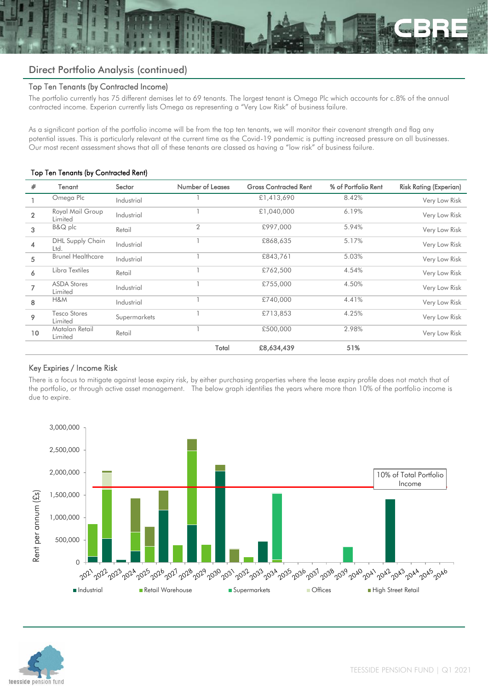# Direct Portfolio Analysis (continued)

#### Top Ten Tenants (by Contracted Income)

The portfolio currently has 75 different demises let to 69 tenants. The largest tenant is Omega Plc which accounts for c.8% of the annual contracted income. Experian currently lists Omega as representing a "Very Low Risk" of business failure.

As a significant portion of the portfolio income will be from the top ten tenants, we will monitor their covenant strength and flag any potential issues. This is particularly relevant at the current time as the Covid-19 pandemic is putting increased pressure on all businesses. Our most recent assessment shows that all of these tenants are classed as having a "low risk" of business failure.

#### Top Ten Tenants (by Contracted Rent)

| #               | Tenant                          | Sector       | <b>Number of Leases</b> | <b>Gross Contracted Rent</b> | % of Portfolio Rent | <b>Risk Rating (Experian)</b> |
|-----------------|---------------------------------|--------------|-------------------------|------------------------------|---------------------|-------------------------------|
|                 | Omega Plc                       | Industrial   |                         | £1,413,690                   | 8.42%               | Very Low Risk                 |
| $\overline{2}$  | Royal Mail Group<br>Limited     | Industrial   |                         | £1,040,000                   | 6.19%               | Very Low Risk                 |
| 3               | B&Q plc                         | Retail       | $\overline{2}$          | £997,000                     | 5.94%               | Very Low Risk                 |
| 4               | <b>DHL Supply Chain</b><br>Ltd. | Industrial   |                         | £868,635                     | 5.17%               | Very Low Risk                 |
| 5               | <b>Brunel Healthcare</b>        | Industrial   |                         | £843,761                     | 5.03%               | Very Low Risk                 |
| 6               | Libra Textiles                  | Retail       |                         | £762,500                     | 4.54%               | Very Low Risk                 |
| $\overline{ }$  | <b>ASDA Stores</b><br>Limited   | Industrial   |                         | £755,000                     | 4.50%               | Very Low Risk                 |
| 8               | H&M                             | Industrial   |                         | £740,000                     | 4.41%               | Very Low Risk                 |
| 9               | Tesco Stores<br>Limited         | Supermarkets |                         | £713,853                     | 4.25%               | Very Low Risk                 |
| 10 <sup>°</sup> | Matalan Retail<br>Limited       | Retail       |                         | £500,000                     | 2.98%               | Very Low Risk                 |
|                 |                                 |              | Total                   | £8,634,439                   | 51%                 |                               |

#### Key Expiries / Income Risk

There is a focus to mitigate against lease expiry risk, by either purchasing properties where the lease expiry profile does not match that of the portfolio, or through active asset management. The below graph identifies the years where more than 10% of the portfolio income is due to expire.



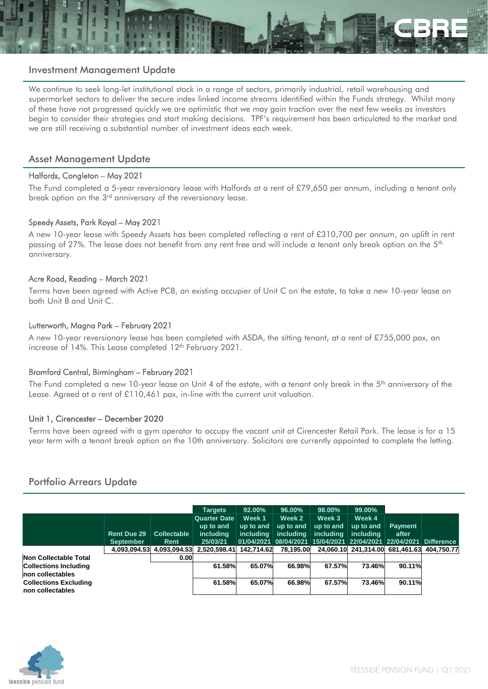

#### Investment Management Update

We continue to seek long-let institutional stock in a range of sectors, primarily industrial, retail warehousing and supermarket sectors to deliver the secure index linked income streams identified within the Funds strategy. Whilst many of these have not progressed quickly we are optimistic that we may gain traction over the next few weeks as investors begin to consider their strategies and start making decisions. TPF's requirement has been articulated to the market and we are still receiving a substantial number of investment ideas each week.

#### Asset Management Update

#### Halfords, Congleton – May 2021

The Fund completed a 5-year reversionary lease with Halfords at a rent of £79,650 per annum, including a tenant only break option on the 3<sup>rd</sup> anniversary of the reversionary lease.

#### Speedy Assets, Park Royal – May 2021

A new 10-year lease with Speedy Assets has been completed reflecting a rent of £310,700 per annum, an uplift in rent passing of 27%. The lease does not benefit from any rent free and will include a tenant only break option on the 5<sup>th</sup> anniversary.

#### Acre Road, Reading – March 2021

Terms have been agreed with Active PCB, an existing occupier of Unit C on the estate, to take a new 10-year lease on both Unit B and Unit C.

#### Lutterworth, Magna Park – February 2021

A new 10-year reversionary lease has been completed with ASDA, the sitting tenant, at a rent of £755,000 pax, an increase of 14%. This Lease completed 12<sup>th</sup> February 2021.

#### Bromford Central, Birmingham – February 2021

The Fund completed a new 10-year lease on Unit 4 of the estate, with a tenant only break in the  $5<sup>th</sup>$  anniversary of the Lease. Agreed at a rent of £110,461 pax, in-line with the current unit valuation.

#### Unit 1, Cirencester – December 2020

Terms have been agreed with a gym operator to occupy the vacant unit at Cirencester Retail Park. The lease is for a 15 year term with a tenant break option on the 10th anniversary. Solicitors are currently appointed to complete the letting.

#### Portfolio Arrears Update

|                                                  |                                 |                            | <b>Targets</b>                                            | 92.00%                           | 96.00%                           | 98.00%                                  | 99.00%                           |                                                                                              |  |
|--------------------------------------------------|---------------------------------|----------------------------|-----------------------------------------------------------|----------------------------------|----------------------------------|-----------------------------------------|----------------------------------|----------------------------------------------------------------------------------------------|--|
|                                                  | Rent Due 29<br><b>September</b> | <b>Collectable</b><br>Rent | <b>Quarter Date</b><br>up to and<br>including<br>25/03/21 | Week 1<br>up to and<br>including | Week 2<br>up to and<br>includina | Week 3<br>up to and<br><i>including</i> | Week 4<br>up to and<br>includina | <b>Payment</b><br>after<br>01/04/2021 08/04/2021 15/04/2021 22/04/2021 22/04/2021 Difference |  |
|                                                  | 4.093.094.53                    | 4.093.094.53               | 2.520.598.41                                              | 142.714.62                       | 78.195.00                        |                                         |                                  | 24.060.10 241.314.00 681.461.63 404.750.77                                                   |  |
| Non Collectable Total                            |                                 | 0.00                       |                                                           |                                  |                                  |                                         |                                  |                                                                                              |  |
| <b>Collections Including</b><br>non collectables |                                 |                            | 61.58%                                                    | 65.07%                           | 66.98%                           | 67.57%                                  | 73.46%                           | 90.11%                                                                                       |  |
| <b>Collections Excluding</b><br>non collectables |                                 |                            | 61.58%                                                    | 65.07%                           | 66.98%                           | 67.57%                                  | 73.46%                           | 90.11%                                                                                       |  |

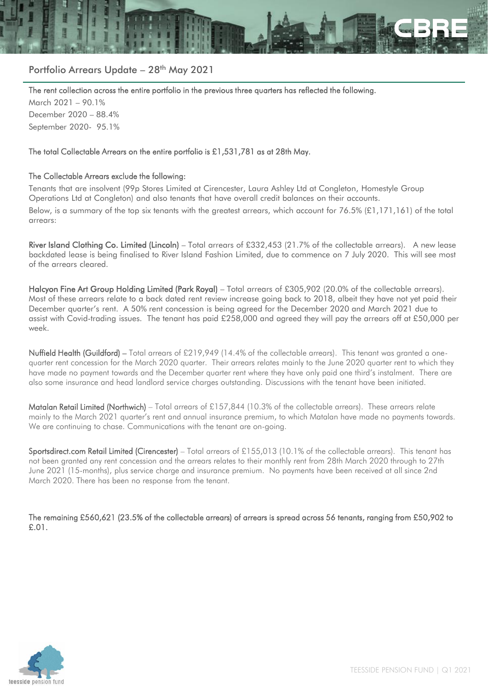

# Portfolio Arrears Update - 28<sup>th</sup> May 2021

The rent collection across the entire portfolio in the previous three quarters has reflected the following.

March 2021 – 90.1% December 2020 – 88.4% September 2020- 95.1%

#### The total Collectable Arrears on the entire portfolio is £1,531,781 as at 28th May.

#### The Collectable Arrears exclude the following:

Tenants that are insolvent (99p Stores Limited at Cirencester, Laura Ashley Ltd at Congleton, Homestyle Group Operations Ltd at Congleton) and also tenants that have overall credit balances on their accounts.

Below, is a summary of the top six tenants with the greatest arrears, which account for 76.5% (£1,171,161) of the total arrears:

River Island Clothing Co. Limited (Lincoln) – Total arrears of £332,453 (21.7% of the collectable arrears). A new lease backdated lease is being finalised to River Island Fashion Limited, due to commence on 7 July 2020. This will see most of the arrears cleared.

Halcyon Fine Art Group Holding Limited (Park Royal) – Total arrears of £305,902 (20.0% of the collectable arrears). Most of these arrears relate to a back dated rent review increase going back to 2018, albeit they have not yet paid their December quarter's rent. A 50% rent concession is being agreed for the December 2020 and March 2021 due to assist with Covid-trading issues. The tenant has paid £258,000 and agreed they will pay the arrears off at £50,000 per week.

Nuffield Health (Guildford) – Total arrears of £219,949 (14.4% of the collectable arrears). This tenant was granted a onequarter rent concession for the March 2020 quarter. Their arrears relates mainly to the June 2020 quarter rent to which they have made no payment towards and the December quarter rent where they have only paid one third's instalment. There are also some insurance and head landlord service charges outstanding. Discussions with the tenant have been initiated.

Matalan Retail Limited (Northwich) – Total arrears of £157,844 (10.3% of the collectable arrears). These arrears relate mainly to the March 2021 quarter's rent and annual insurance premium, to which Matalan have made no payments towards. We are continuing to chase. Communications with the tenant are on-going.

Sportsdirect.com Retail Limited (Cirencester) – Total arrears of £155,013 (10.1% of the collectable arrears). This tenant has not been granted any rent concession and the arrears relates to their monthly rent from 28th March 2020 through to 27th June 2021 (15-months), plus service charge and insurance premium. No payments have been received at all since 2nd March 2020. There has been no response from the tenant.

The remaining £560,621 (23.5% of the collectable arrears) of arrears is spread across 56 tenants, ranging from £50,902 to £.01.